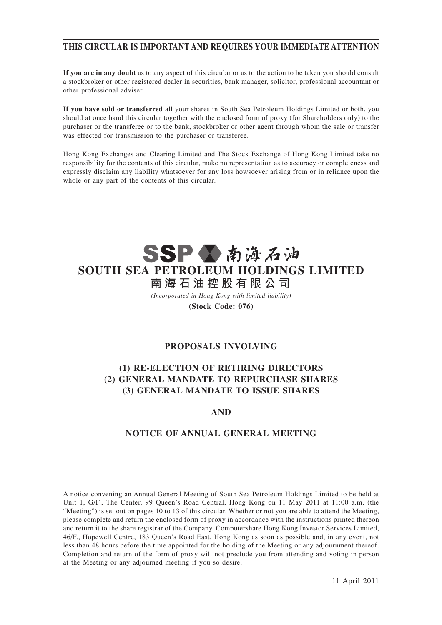# **THIS CIRCULAR IS IMPORTANT AND REQUIRES YOUR IMMEDIATE ATTENTION**

**If you are in any doubt** as to any aspect of this circular or as to the action to be taken you should consult a stockbroker or other registered dealer in securities, bank manager, solicitor, professional accountant or other professional adviser.

**If you have sold or transferred** all your shares in South Sea Petroleum Holdings Limited or both, you should at once hand this circular together with the enclosed form of proxy (for Shareholders only) to the purchaser or the transferee or to the bank, stockbroker or other agent through whom the sale or transfer was effected for transmission to the purchaser or transferee.

Hong Kong Exchanges and Clearing Limited and The Stock Exchange of Hong Kong Limited take no responsibility for the contents of this circular, make no representation as to accuracy or completeness and expressly disclaim any liability whatsoever for any loss howsoever arising from or in reliance upon the whole or any part of the contents of this circular.



**(Stock Code: 076)**

## **PROPOSALS INVOLVING**

# **(1) RE-ELECTION OF RETIRING DIRECTORS (2) GENERAL MANDATE TO REPURCHASE SHARES (3) GENERAL MANDATE TO ISSUE SHARES**

## **AND**

# **NOTICE OF ANNUAL GENERAL MEETING**

A notice convening an Annual General Meeting of South Sea Petroleum Holdings Limited to be held at Unit 1, G/F., The Center, 99 Queen's Road Central, Hong Kong on 11 May 2011 at 11:00 a.m. (the "Meeting") is set out on pages 10 to 13 of this circular. Whether or not you are able to attend the Meeting, please complete and return the enclosed form of proxy in accordance with the instructions printed thereon and return it to the share registrar of the Company, Computershare Hong Kong Investor Services Limited, 46/F., Hopewell Centre, 183 Queen's Road East, Hong Kong as soon as possible and, in any event, not less than 48 hours before the time appointed for the holding of the Meeting or any adjournment thereof. Completion and return of the form of proxy will not preclude you from attending and voting in person at the Meeting or any adjourned meeting if you so desire.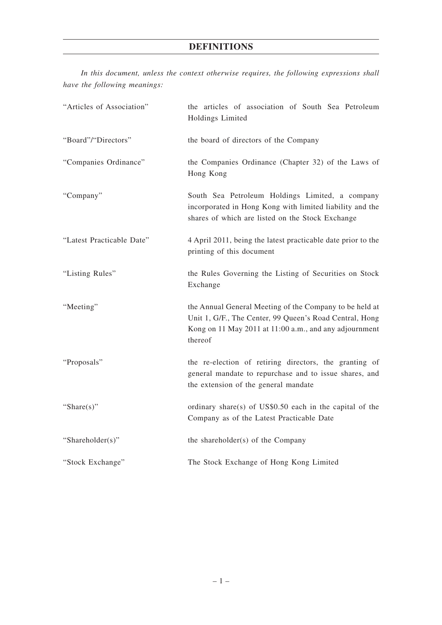# **DEFINITIONS**

*In this document, unless the context otherwise requires, the following expressions shall have the following meanings:*

| "Articles of Association" | the articles of association of South Sea Petroleum<br>Holdings Limited                                                                                                                  |  |
|---------------------------|-----------------------------------------------------------------------------------------------------------------------------------------------------------------------------------------|--|
| "Board"/"Directors"       | the board of directors of the Company                                                                                                                                                   |  |
| "Companies Ordinance"     | the Companies Ordinance (Chapter 32) of the Laws of<br>Hong Kong                                                                                                                        |  |
| "Company"                 | South Sea Petroleum Holdings Limited, a company<br>incorporated in Hong Kong with limited liability and the<br>shares of which are listed on the Stock Exchange                         |  |
| "Latest Practicable Date" | 4 April 2011, being the latest practicable date prior to the<br>printing of this document                                                                                               |  |
| "Listing Rules"           | the Rules Governing the Listing of Securities on Stock<br>Exchange                                                                                                                      |  |
| "Meeting"                 | the Annual General Meeting of the Company to be held at<br>Unit 1, G/F., The Center, 99 Queen's Road Central, Hong<br>Kong on 11 May 2011 at 11:00 a.m., and any adjournment<br>thereof |  |
| "Proposals"               | the re-election of retiring directors, the granting of<br>general mandate to repurchase and to issue shares, and<br>the extension of the general mandate                                |  |
| "Share $(s)$ "            | ordinary share(s) of US\$0.50 each in the capital of the<br>Company as of the Latest Practicable Date                                                                                   |  |
| "Shareholder(s)"          | the shareholder(s) of the Company                                                                                                                                                       |  |
| "Stock Exchange"          | The Stock Exchange of Hong Kong Limited                                                                                                                                                 |  |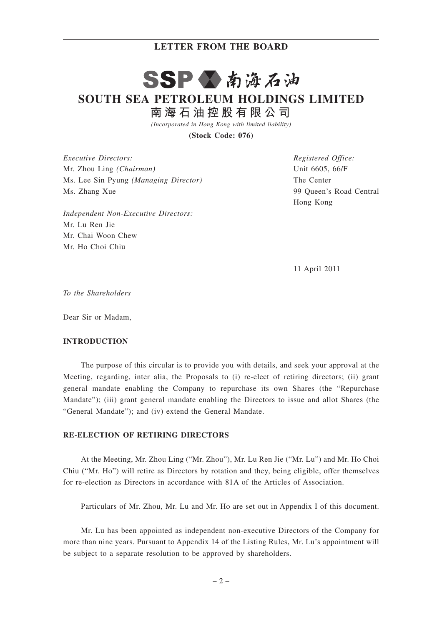#### **LETTER FROM THE BOARD**

# SSPV南海石油

**SOUTH SEA PETROLEUM HOLDINGS LIMITED**

**南 海 石 油 控 股 有 限 公 司**

*(Incorporated in Hong Kong with limited liability)*

**(Stock Code: 076)**

*Executive Directors:* Mr. Zhou Ling *(Chairman)* Ms. Lee Sin Pyung *(Managing Director)* Ms. Zhang Xue

*Independent Non-Executive Directors:* Mr. Lu Ren Jie Mr. Chai Woon Chew Mr. Ho Choi Chiu

*Registered Office:* Unit 6605, 66/F The Center 99 Queen's Road Central Hong Kong

11 April 2011

*To the Shareholders*

Dear Sir or Madam,

#### **INTRODUCTION**

The purpose of this circular is to provide you with details, and seek your approval at the Meeting, regarding, inter alia, the Proposals to (i) re-elect of retiring directors; (ii) grant general mandate enabling the Company to repurchase its own Shares (the "Repurchase Mandate"); (iii) grant general mandate enabling the Directors to issue and allot Shares (the "General Mandate"); and (iv) extend the General Mandate.

#### **RE-ELECTION OF RETIRING DIRECTORS**

At the Meeting, Mr. Zhou Ling ("Mr. Zhou"), Mr. Lu Ren Jie ("Mr. Lu") and Mr. Ho Choi Chiu ("Mr. Ho") will retire as Directors by rotation and they, being eligible, offer themselves for re-election as Directors in accordance with 81A of the Articles of Association.

Particulars of Mr. Zhou, Mr. Lu and Mr. Ho are set out in Appendix I of this document.

Mr. Lu has been appointed as independent non-executive Directors of the Company for more than nine years. Pursuant to Appendix 14 of the Listing Rules, Mr. Lu's appointment will be subject to a separate resolution to be approved by shareholders.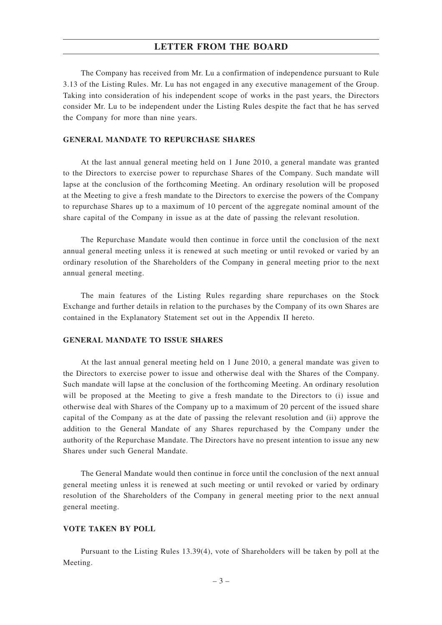#### **LETTER FROM THE BOARD**

The Company has received from Mr. Lu a confirmation of independence pursuant to Rule 3.13 of the Listing Rules. Mr. Lu has not engaged in any executive management of the Group. Taking into consideration of his independent scope of works in the past years, the Directors consider Mr. Lu to be independent under the Listing Rules despite the fact that he has served the Company for more than nine years.

#### **GENERAL MANDATE TO REPURCHASE SHARES**

At the last annual general meeting held on 1 June 2010, a general mandate was granted to the Directors to exercise power to repurchase Shares of the Company. Such mandate will lapse at the conclusion of the forthcoming Meeting. An ordinary resolution will be proposed at the Meeting to give a fresh mandate to the Directors to exercise the powers of the Company to repurchase Shares up to a maximum of 10 percent of the aggregate nominal amount of the share capital of the Company in issue as at the date of passing the relevant resolution.

The Repurchase Mandate would then continue in force until the conclusion of the next annual general meeting unless it is renewed at such meeting or until revoked or varied by an ordinary resolution of the Shareholders of the Company in general meeting prior to the next annual general meeting.

The main features of the Listing Rules regarding share repurchases on the Stock Exchange and further details in relation to the purchases by the Company of its own Shares are contained in the Explanatory Statement set out in the Appendix II hereto.

#### **GENERAL MANDATE TO ISSUE SHARES**

At the last annual general meeting held on 1 June 2010, a general mandate was given to the Directors to exercise power to issue and otherwise deal with the Shares of the Company. Such mandate will lapse at the conclusion of the forthcoming Meeting. An ordinary resolution will be proposed at the Meeting to give a fresh mandate to the Directors to (i) issue and otherwise deal with Shares of the Company up to a maximum of 20 percent of the issued share capital of the Company as at the date of passing the relevant resolution and (ii) approve the addition to the General Mandate of any Shares repurchased by the Company under the authority of the Repurchase Mandate. The Directors have no present intention to issue any new Shares under such General Mandate.

The General Mandate would then continue in force until the conclusion of the next annual general meeting unless it is renewed at such meeting or until revoked or varied by ordinary resolution of the Shareholders of the Company in general meeting prior to the next annual general meeting.

#### **VOTE TAKEN BY POLL**

Pursuant to the Listing Rules 13.39(4), vote of Shareholders will be taken by poll at the Meeting.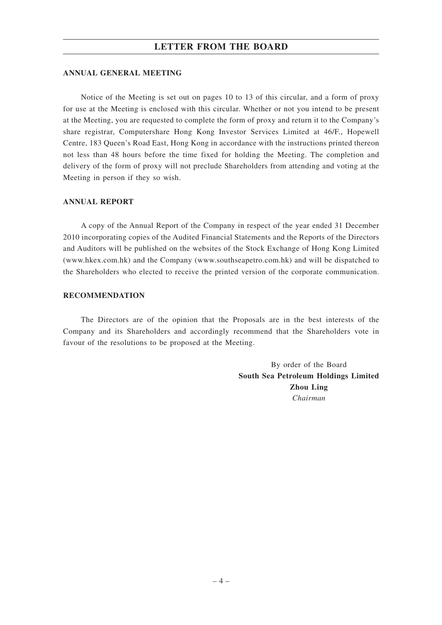### **LETTER FROM THE BOARD**

#### **ANNUAL GENERAL MEETING**

Notice of the Meeting is set out on pages 10 to 13 of this circular, and a form of proxy for use at the Meeting is enclosed with this circular. Whether or not you intend to be present at the Meeting, you are requested to complete the form of proxy and return it to the Company's share registrar, Computershare Hong Kong Investor Services Limited at 46/F., Hopewell Centre, 183 Queen's Road East, Hong Kong in accordance with the instructions printed thereon not less than 48 hours before the time fixed for holding the Meeting. The completion and delivery of the form of proxy will not preclude Shareholders from attending and voting at the Meeting in person if they so wish.

#### **ANNUAL REPORT**

A copy of the Annual Report of the Company in respect of the year ended 31 December 2010 incorporating copies of the Audited Financial Statements and the Reports of the Directors and Auditors will be published on the websites of the Stock Exchange of Hong Kong Limited (www.hkex.com.hk) and the Company (www.southseapetro.com.hk) and will be dispatched to the Shareholders who elected to receive the printed version of the corporate communication.

#### **RECOMMENDATION**

The Directors are of the opinion that the Proposals are in the best interests of the Company and its Shareholders and accordingly recommend that the Shareholders vote in favour of the resolutions to be proposed at the Meeting.

> By order of the Board **South Sea Petroleum Holdings Limited Zhou Ling** *Chairman*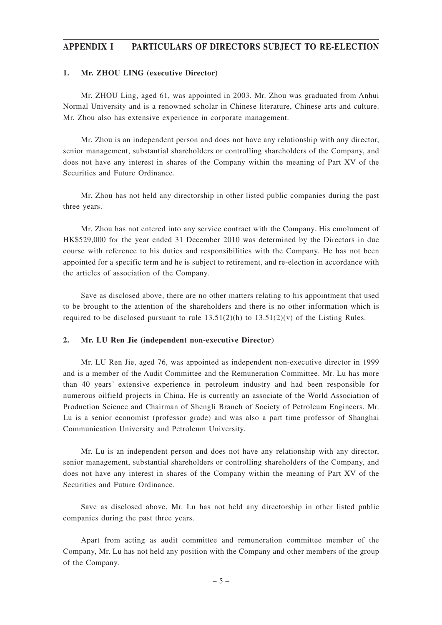### **APPENDIX I PARTICULARS OF DIRECTORS SUBJECT TO RE-ELECTION**

#### **1. Mr. ZHOU LING (executive Director)**

Mr. ZHOU Ling, aged 61, was appointed in 2003. Mr. Zhou was graduated from Anhui Normal University and is a renowned scholar in Chinese literature, Chinese arts and culture. Mr. Zhou also has extensive experience in corporate management.

Mr. Zhou is an independent person and does not have any relationship with any director, senior management, substantial shareholders or controlling shareholders of the Company, and does not have any interest in shares of the Company within the meaning of Part XV of the Securities and Future Ordinance.

Mr. Zhou has not held any directorship in other listed public companies during the past three years.

Mr. Zhou has not entered into any service contract with the Company. His emolument of HK\$529,000 for the year ended 31 December 2010 was determined by the Directors in due course with reference to his duties and responsibilities with the Company. He has not been appointed for a specific term and he is subject to retirement, and re-election in accordance with the articles of association of the Company.

Save as disclosed above, there are no other matters relating to his appointment that used to be brought to the attention of the shareholders and there is no other information which is required to be disclosed pursuant to rule  $13.51(2)(h)$  to  $13.51(2)(v)$  of the Listing Rules.

#### **2. Mr. LU Ren Jie (independent non-executive Director)**

Mr. LU Ren Jie, aged 76, was appointed as independent non-executive director in 1999 and is a member of the Audit Committee and the Remuneration Committee. Mr. Lu has more than 40 years' extensive experience in petroleum industry and had been responsible for numerous oilfield projects in China. He is currently an associate of the World Association of Production Science and Chairman of Shengli Branch of Society of Petroleum Engineers. Mr. Lu is a senior economist (professor grade) and was also a part time professor of Shanghai Communication University and Petroleum University.

Mr. Lu is an independent person and does not have any relationship with any director, senior management, substantial shareholders or controlling shareholders of the Company, and does not have any interest in shares of the Company within the meaning of Part XV of the Securities and Future Ordinance.

Save as disclosed above, Mr. Lu has not held any directorship in other listed public companies during the past three years.

Apart from acting as audit committee and remuneration committee member of the Company, Mr. Lu has not held any position with the Company and other members of the group of the Company.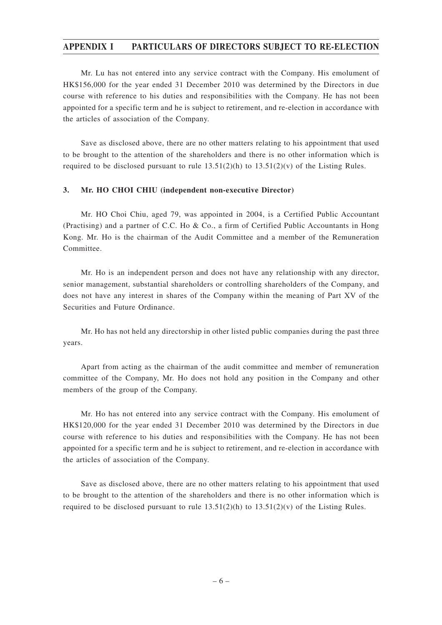### **APPENDIX I PARTICULARS OF DIRECTORS SUBJECT TO RE-ELECTION**

Mr. Lu has not entered into any service contract with the Company. His emolument of HK\$156,000 for the year ended 31 December 2010 was determined by the Directors in due course with reference to his duties and responsibilities with the Company. He has not been appointed for a specific term and he is subject to retirement, and re-election in accordance with the articles of association of the Company.

Save as disclosed above, there are no other matters relating to his appointment that used to be brought to the attention of the shareholders and there is no other information which is required to be disclosed pursuant to rule  $13.51(2)(h)$  to  $13.51(2)(v)$  of the Listing Rules.

#### **3. Mr. HO CHOI CHIU (independent non-executive Director)**

Mr. HO Choi Chiu, aged 79, was appointed in 2004, is a Certified Public Accountant (Practising) and a partner of C.C. Ho & Co., a firm of Certified Public Accountants in Hong Kong. Mr. Ho is the chairman of the Audit Committee and a member of the Remuneration Committee.

Mr. Ho is an independent person and does not have any relationship with any director, senior management, substantial shareholders or controlling shareholders of the Company, and does not have any interest in shares of the Company within the meaning of Part XV of the Securities and Future Ordinance.

Mr. Ho has not held any directorship in other listed public companies during the past three years.

Apart from acting as the chairman of the audit committee and member of remuneration committee of the Company, Mr. Ho does not hold any position in the Company and other members of the group of the Company.

Mr. Ho has not entered into any service contract with the Company. His emolument of HK\$120,000 for the year ended 31 December 2010 was determined by the Directors in due course with reference to his duties and responsibilities with the Company. He has not been appointed for a specific term and he is subject to retirement, and re-election in accordance with the articles of association of the Company.

Save as disclosed above, there are no other matters relating to his appointment that used to be brought to the attention of the shareholders and there is no other information which is required to be disclosed pursuant to rule  $13.51(2)(h)$  to  $13.51(2)(v)$  of the Listing Rules.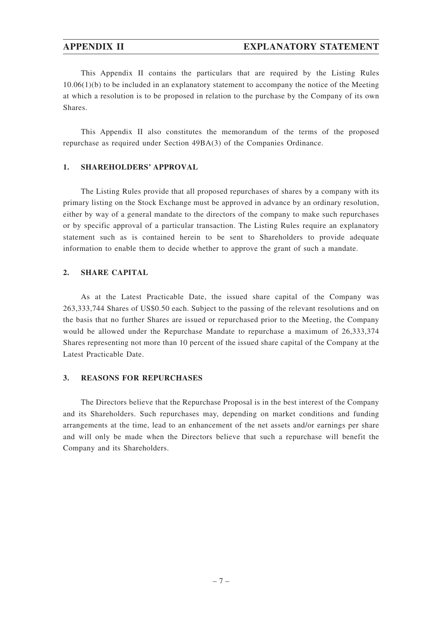#### **APPENDIX II EXPLANATORY STATEMENT**

This Appendix II contains the particulars that are required by the Listing Rules  $10.06(1)(b)$  to be included in an explanatory statement to accompany the notice of the Meeting at which a resolution is to be proposed in relation to the purchase by the Company of its own Shares.

This Appendix II also constitutes the memorandum of the terms of the proposed repurchase as required under Section 49BA(3) of the Companies Ordinance.

#### **1. SHAREHOLDERS' APPROVAL**

The Listing Rules provide that all proposed repurchases of shares by a company with its primary listing on the Stock Exchange must be approved in advance by an ordinary resolution, either by way of a general mandate to the directors of the company to make such repurchases or by specific approval of a particular transaction. The Listing Rules require an explanatory statement such as is contained herein to be sent to Shareholders to provide adequate information to enable them to decide whether to approve the grant of such a mandate.

#### **2. SHARE CAPITAL**

As at the Latest Practicable Date, the issued share capital of the Company was 263,333,744 Shares of US\$0.50 each. Subject to the passing of the relevant resolutions and on the basis that no further Shares are issued or repurchased prior to the Meeting, the Company would be allowed under the Repurchase Mandate to repurchase a maximum of 26,333,374 Shares representing not more than 10 percent of the issued share capital of the Company at the Latest Practicable Date.

#### **3. REASONS FOR REPURCHASES**

The Directors believe that the Repurchase Proposal is in the best interest of the Company and its Shareholders. Such repurchases may, depending on market conditions and funding arrangements at the time, lead to an enhancement of the net assets and/or earnings per share and will only be made when the Directors believe that such a repurchase will benefit the Company and its Shareholders.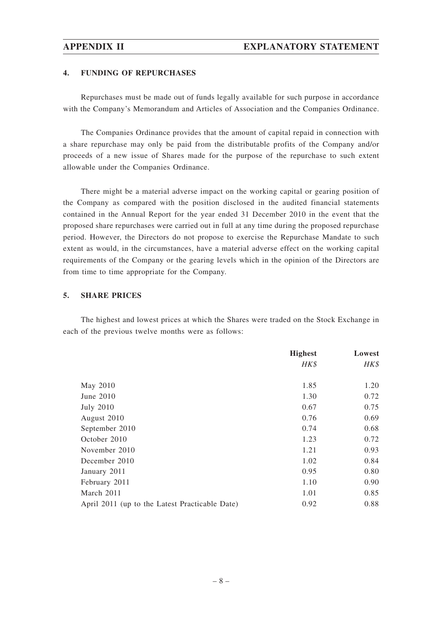#### **4. FUNDING OF REPURCHASES**

Repurchases must be made out of funds legally available for such purpose in accordance with the Company's Memorandum and Articles of Association and the Companies Ordinance.

The Companies Ordinance provides that the amount of capital repaid in connection with a share repurchase may only be paid from the distributable profits of the Company and/or proceeds of a new issue of Shares made for the purpose of the repurchase to such extent allowable under the Companies Ordinance.

There might be a material adverse impact on the working capital or gearing position of the Company as compared with the position disclosed in the audited financial statements contained in the Annual Report for the year ended 31 December 2010 in the event that the proposed share repurchases were carried out in full at any time during the proposed repurchase period. However, the Directors do not propose to exercise the Repurchase Mandate to such extent as would, in the circumstances, have a material adverse effect on the working capital requirements of the Company or the gearing levels which in the opinion of the Directors are from time to time appropriate for the Company.

#### **5. SHARE PRICES**

The highest and lowest prices at which the Shares were traded on the Stock Exchange in each of the previous twelve months were as follows:

|                                                | <b>Highest</b> | Lowest |
|------------------------------------------------|----------------|--------|
|                                                | HK\$           | HK\$   |
|                                                |                |        |
| May 2010                                       | 1.85           | 1.20   |
| June 2010                                      | 1.30           | 0.72   |
| <b>July 2010</b>                               | 0.67           | 0.75   |
| August 2010                                    | 0.76           | 0.69   |
| September 2010                                 | 0.74           | 0.68   |
| October 2010                                   | 1.23           | 0.72   |
| November 2010                                  | 1.21           | 0.93   |
| December 2010                                  | 1.02           | 0.84   |
| January 2011                                   | 0.95           | 0.80   |
| February 2011                                  | 1.10           | 0.90   |
| March 2011                                     | 1.01           | 0.85   |
| April 2011 (up to the Latest Practicable Date) | 0.92           | 0.88   |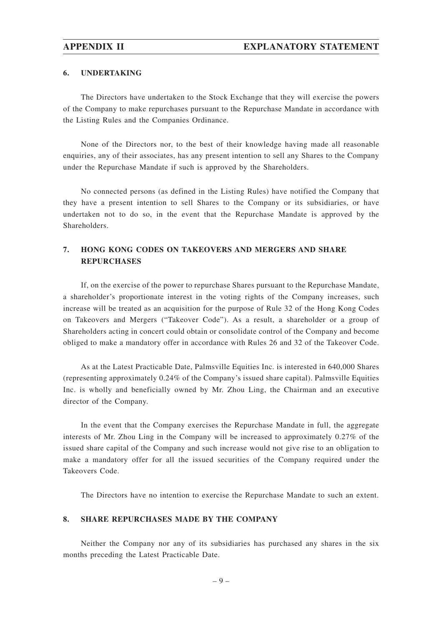#### **6. UNDERTAKING**

The Directors have undertaken to the Stock Exchange that they will exercise the powers of the Company to make repurchases pursuant to the Repurchase Mandate in accordance with the Listing Rules and the Companies Ordinance.

None of the Directors nor, to the best of their knowledge having made all reasonable enquiries, any of their associates, has any present intention to sell any Shares to the Company under the Repurchase Mandate if such is approved by the Shareholders.

No connected persons (as defined in the Listing Rules) have notified the Company that they have a present intention to sell Shares to the Company or its subsidiaries, or have undertaken not to do so, in the event that the Repurchase Mandate is approved by the Shareholders.

# **7. HONG KONG CODES ON TAKEOVERS AND MERGERS AND SHARE REPURCHASES**

If, on the exercise of the power to repurchase Shares pursuant to the Repurchase Mandate, a shareholder's proportionate interest in the voting rights of the Company increases, such increase will be treated as an acquisition for the purpose of Rule 32 of the Hong Kong Codes on Takeovers and Mergers ("Takeover Code"). As a result, a shareholder or a group of Shareholders acting in concert could obtain or consolidate control of the Company and become obliged to make a mandatory offer in accordance with Rules 26 and 32 of the Takeover Code.

As at the Latest Practicable Date, Palmsville Equities Inc. is interested in 640,000 Shares (representing approximately 0.24% of the Company's issued share capital). Palmsville Equities Inc. is wholly and beneficially owned by Mr. Zhou Ling, the Chairman and an executive director of the Company.

In the event that the Company exercises the Repurchase Mandate in full, the aggregate interests of Mr. Zhou Ling in the Company will be increased to approximately 0.27% of the issued share capital of the Company and such increase would not give rise to an obligation to make a mandatory offer for all the issued securities of the Company required under the Takeovers Code.

The Directors have no intention to exercise the Repurchase Mandate to such an extent.

#### **8. SHARE REPURCHASES MADE BY THE COMPANY**

Neither the Company nor any of its subsidiaries has purchased any shares in the six months preceding the Latest Practicable Date.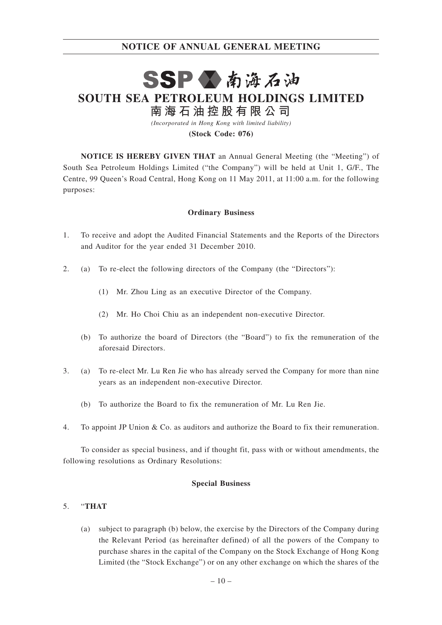# SSP公南海石油 **SOUTH SEA PETROLEUM HOLDINGS LIMITED 南 海 石 油 控 股 有 限 公 司**

*(Incorporated in Hong Kong with limited liability)* **(Stock Code: 076)**

**NOTICE IS HEREBY GIVEN THAT** an Annual General Meeting (the "Meeting") of South Sea Petroleum Holdings Limited ("the Company") will be held at Unit 1, G/F., The Centre, 99 Queen's Road Central, Hong Kong on 11 May 2011, at 11:00 a.m. for the following purposes:

#### **Ordinary Business**

- 1. To receive and adopt the Audited Financial Statements and the Reports of the Directors and Auditor for the year ended 31 December 2010.
- 2. (a) To re-elect the following directors of the Company (the "Directors"):
	- (1) Mr. Zhou Ling as an executive Director of the Company.
	- (2) Mr. Ho Choi Chiu as an independent non-executive Director.
	- (b) To authorize the board of Directors (the "Board") to fix the remuneration of the aforesaid Directors.
- 3. (a) To re-elect Mr. Lu Ren Jie who has already served the Company for more than nine years as an independent non-executive Director.
	- (b) To authorize the Board to fix the remuneration of Mr. Lu Ren Jie.
- 4. To appoint JP Union & Co. as auditors and authorize the Board to fix their remuneration.

To consider as special business, and if thought fit, pass with or without amendments, the following resolutions as Ordinary Resolutions:

#### **Special Business**

#### 5. "**THAT**

(a) subject to paragraph (b) below, the exercise by the Directors of the Company during the Relevant Period (as hereinafter defined) of all the powers of the Company to purchase shares in the capital of the Company on the Stock Exchange of Hong Kong Limited (the "Stock Exchange") or on any other exchange on which the shares of the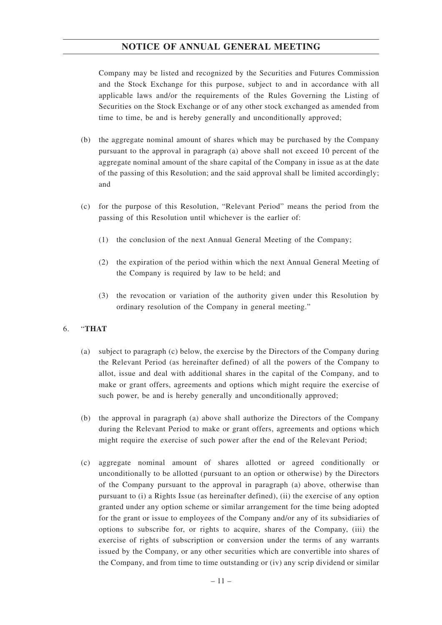Company may be listed and recognized by the Securities and Futures Commission and the Stock Exchange for this purpose, subject to and in accordance with all applicable laws and/or the requirements of the Rules Governing the Listing of Securities on the Stock Exchange or of any other stock exchanged as amended from time to time, be and is hereby generally and unconditionally approved;

- (b) the aggregate nominal amount of shares which may be purchased by the Company pursuant to the approval in paragraph (a) above shall not exceed 10 percent of the aggregate nominal amount of the share capital of the Company in issue as at the date of the passing of this Resolution; and the said approval shall be limited accordingly; and
- (c) for the purpose of this Resolution, "Relevant Period" means the period from the passing of this Resolution until whichever is the earlier of:
	- (1) the conclusion of the next Annual General Meeting of the Company;
	- (2) the expiration of the period within which the next Annual General Meeting of the Company is required by law to be held; and
	- (3) the revocation or variation of the authority given under this Resolution by ordinary resolution of the Company in general meeting."

#### 6. "**THAT**

- (a) subject to paragraph (c) below, the exercise by the Directors of the Company during the Relevant Period (as hereinafter defined) of all the powers of the Company to allot, issue and deal with additional shares in the capital of the Company, and to make or grant offers, agreements and options which might require the exercise of such power, be and is hereby generally and unconditionally approved;
- (b) the approval in paragraph (a) above shall authorize the Directors of the Company during the Relevant Period to make or grant offers, agreements and options which might require the exercise of such power after the end of the Relevant Period;
- (c) aggregate nominal amount of shares allotted or agreed conditionally or unconditionally to be allotted (pursuant to an option or otherwise) by the Directors of the Company pursuant to the approval in paragraph (a) above, otherwise than pursuant to (i) a Rights Issue (as hereinafter defined), (ii) the exercise of any option granted under any option scheme or similar arrangement for the time being adopted for the grant or issue to employees of the Company and/or any of its subsidiaries of options to subscribe for, or rights to acquire, shares of the Company, (iii) the exercise of rights of subscription or conversion under the terms of any warrants issued by the Company, or any other securities which are convertible into shares of the Company, and from time to time outstanding or (iv) any scrip dividend or similar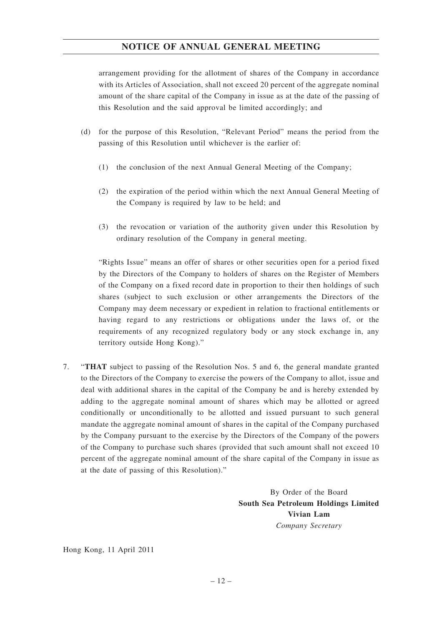arrangement providing for the allotment of shares of the Company in accordance with its Articles of Association, shall not exceed 20 percent of the aggregate nominal amount of the share capital of the Company in issue as at the date of the passing of this Resolution and the said approval be limited accordingly; and

- (d) for the purpose of this Resolution, "Relevant Period" means the period from the passing of this Resolution until whichever is the earlier of:
	- (1) the conclusion of the next Annual General Meeting of the Company;
	- (2) the expiration of the period within which the next Annual General Meeting of the Company is required by law to be held; and
	- (3) the revocation or variation of the authority given under this Resolution by ordinary resolution of the Company in general meeting.

"Rights Issue" means an offer of shares or other securities open for a period fixed by the Directors of the Company to holders of shares on the Register of Members of the Company on a fixed record date in proportion to their then holdings of such shares (subject to such exclusion or other arrangements the Directors of the Company may deem necessary or expedient in relation to fractional entitlements or having regard to any restrictions or obligations under the laws of, or the requirements of any recognized regulatory body or any stock exchange in, any territory outside Hong Kong)."

7. "**THAT** subject to passing of the Resolution Nos. 5 and 6, the general mandate granted to the Directors of the Company to exercise the powers of the Company to allot, issue and deal with additional shares in the capital of the Company be and is hereby extended by adding to the aggregate nominal amount of shares which may be allotted or agreed conditionally or unconditionally to be allotted and issued pursuant to such general mandate the aggregate nominal amount of shares in the capital of the Company purchased by the Company pursuant to the exercise by the Directors of the Company of the powers of the Company to purchase such shares (provided that such amount shall not exceed 10 percent of the aggregate nominal amount of the share capital of the Company in issue as at the date of passing of this Resolution)."

> By Order of the Board **South Sea Petroleum Holdings Limited Vivian Lam** *Company Secretary*

Hong Kong, 11 April 2011